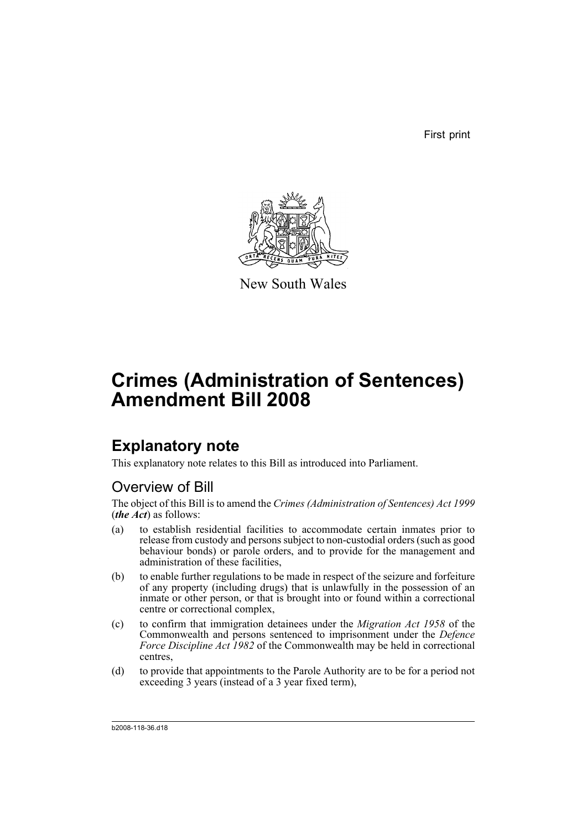First print



New South Wales

# **Crimes (Administration of Sentences) Amendment Bill 2008**

## **Explanatory note**

This explanatory note relates to this Bill as introduced into Parliament.

## Overview of Bill

The object of this Bill is to amend the *Crimes (Administration of Sentences) Act 1999* (*the Act*) as follows:

- (a) to establish residential facilities to accommodate certain inmates prior to release from custody and persons subject to non-custodial orders (such as good behaviour bonds) or parole orders, and to provide for the management and administration of these facilities,
- (b) to enable further regulations to be made in respect of the seizure and forfeiture of any property (including drugs) that is unlawfully in the possession of an inmate or other person, or that is brought into or found within a correctional centre or correctional complex,
- (c) to confirm that immigration detainees under the *Migration Act 1958* of the Commonwealth and persons sentenced to imprisonment under the *Defence Force Discipline Act 1982* of the Commonwealth may be held in correctional centres,
- (d) to provide that appointments to the Parole Authority are to be for a period not exceeding 3 years (instead of a 3 year fixed term),

b2008-118-36.d18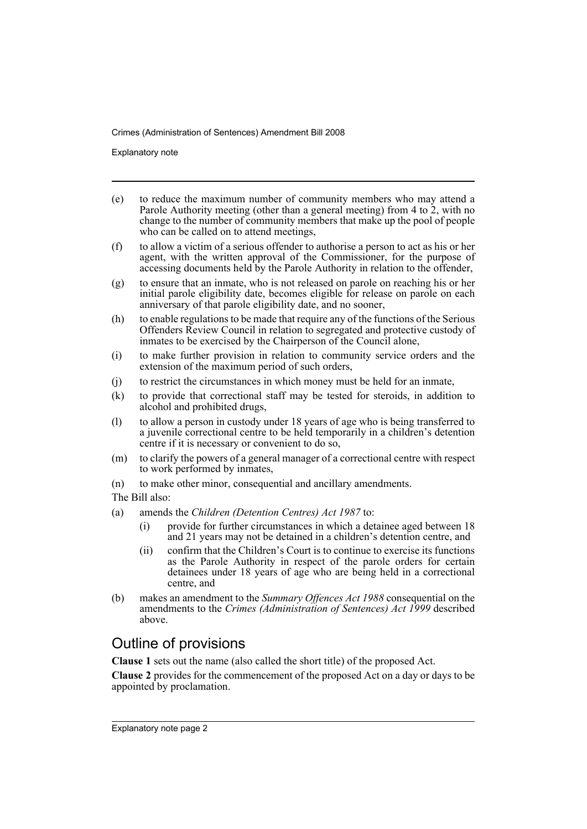Explanatory note

- (e) to reduce the maximum number of community members who may attend a Parole Authority meeting (other than a general meeting) from 4 to 2, with no change to the number of community members that make up the pool of people who can be called on to attend meetings,
- (f) to allow a victim of a serious offender to authorise a person to act as his or her agent, with the written approval of the Commissioner, for the purpose of accessing documents held by the Parole Authority in relation to the offender,
- (g) to ensure that an inmate, who is not released on parole on reaching his or her initial parole eligibility date, becomes eligible for release on parole on each anniversary of that parole eligibility date, and no sooner,
- (h) to enable regulations to be made that require any of the functions of the Serious Offenders Review Council in relation to segregated and protective custody of inmates to be exercised by the Chairperson of the Council alone,
- (i) to make further provision in relation to community service orders and the extension of the maximum period of such orders,
- (j) to restrict the circumstances in which money must be held for an inmate,
- (k) to provide that correctional staff may be tested for steroids, in addition to alcohol and prohibited drugs,
- (l) to allow a person in custody under 18 years of age who is being transferred to a juvenile correctional centre to be held temporarily in a children's detention centre if it is necessary or convenient to do so,
- (m) to clarify the powers of a general manager of a correctional centre with respect to work performed by inmates,
- (n) to make other minor, consequential and ancillary amendments.
- The Bill also:
- (a) amends the *Children (Detention Centres) Act 1987* to:
	- (i) provide for further circumstances in which a detainee aged between 18 and 21 years may not be detained in a children's detention centre, and
	- (ii) confirm that the Children's Court is to continue to exercise its functions as the Parole Authority in respect of the parole orders for certain detainees under 18 years of age who are being held in a correctional centre, and
- (b) makes an amendment to the *Summary Offences Act 1988* consequential on the amendments to the *Crimes (Administration of Sentences) Act 1999* described above.

## Outline of provisions

**Clause 1** sets out the name (also called the short title) of the proposed Act.

**Clause 2** provides for the commencement of the proposed Act on a day or days to be appointed by proclamation.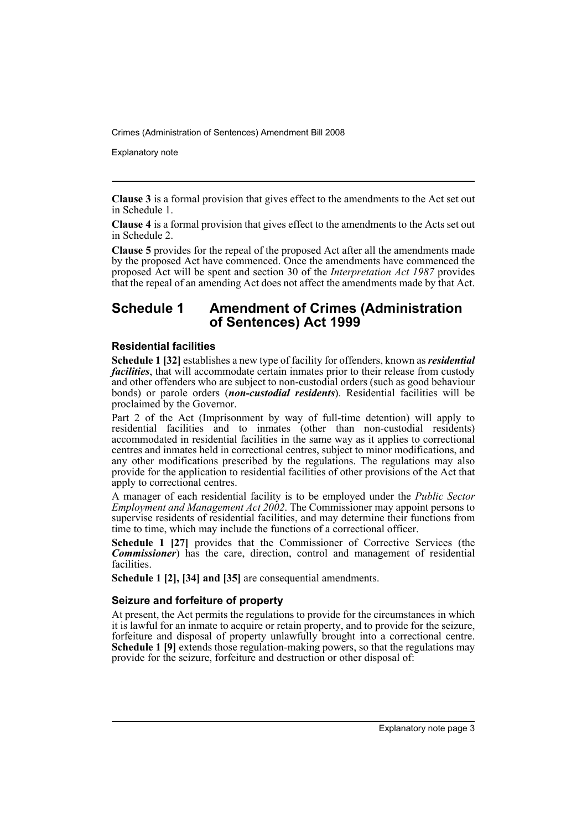Explanatory note

**Clause 3** is a formal provision that gives effect to the amendments to the Act set out in Schedule 1.

**Clause 4** is a formal provision that gives effect to the amendments to the Acts set out in Schedule 2.

**Clause 5** provides for the repeal of the proposed Act after all the amendments made by the proposed Act have commenced. Once the amendments have commenced the proposed Act will be spent and section 30 of the *Interpretation Act 1987* provides that the repeal of an amending Act does not affect the amendments made by that Act.

### **Schedule 1 Amendment of Crimes (Administration of Sentences) Act 1999**

### **Residential facilities**

**Schedule 1 [32]** establishes a new type of facility for offenders, known as *residential facilities*, that will accommodate certain inmates prior to their release from custody and other offenders who are subject to non-custodial orders (such as good behaviour bonds) or parole orders (*non-custodial residents*). Residential facilities will be proclaimed by the Governor.

Part 2 of the Act (Imprisonment by way of full-time detention) will apply to residential facilities and to inmates (other than non-custodial residents) accommodated in residential facilities in the same way as it applies to correctional centres and inmates held in correctional centres, subject to minor modifications, and any other modifications prescribed by the regulations. The regulations may also provide for the application to residential facilities of other provisions of the Act that apply to correctional centres.

A manager of each residential facility is to be employed under the *Public Sector Employment and Management Act 2002*. The Commissioner may appoint persons to supervise residents of residential facilities, and may determine their functions from time to time, which may include the functions of a correctional officer.

**Schedule 1 [27]** provides that the Commissioner of Corrective Services (the *Commissioner*) has the care, direction, control and management of residential facilities.

**Schedule 1 [2], [34] and [35]** are consequential amendments.

### **Seizure and forfeiture of property**

At present, the Act permits the regulations to provide for the circumstances in which it is lawful for an inmate to acquire or retain property, and to provide for the seizure, forfeiture and disposal of property unlawfully brought into a correctional centre. **Schedule 1 [9]** extends those regulation-making powers, so that the regulations may provide for the seizure, forfeiture and destruction or other disposal of: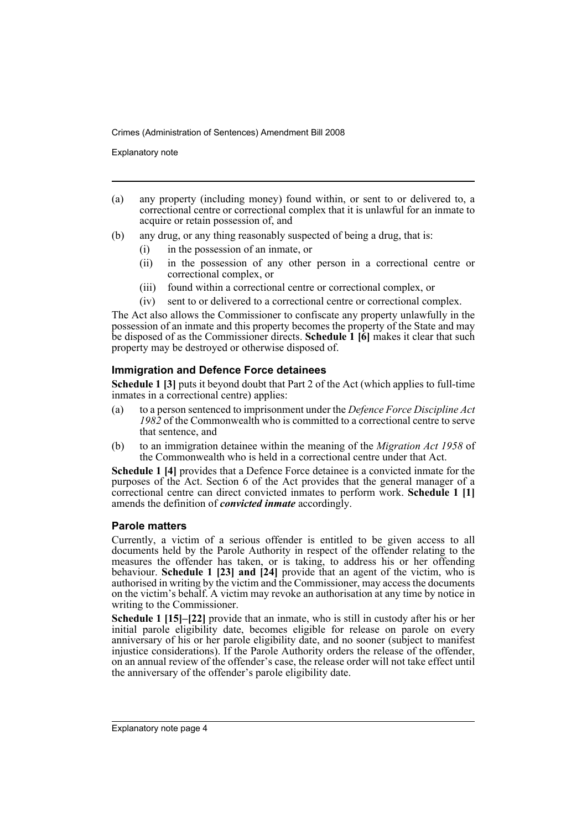Explanatory note

- (a) any property (including money) found within, or sent to or delivered to, a correctional centre or correctional complex that it is unlawful for an inmate to acquire or retain possession of, and
- (b) any drug, or any thing reasonably suspected of being a drug, that is:
	- (i) in the possession of an inmate, or
	- (ii) in the possession of any other person in a correctional centre or correctional complex, or
	- (iii) found within a correctional centre or correctional complex, or
	- (iv) sent to or delivered to a correctional centre or correctional complex.

The Act also allows the Commissioner to confiscate any property unlawfully in the possession of an inmate and this property becomes the property of the State and may be disposed of as the Commissioner directs. **Schedule 1 [6]** makes it clear that such property may be destroyed or otherwise disposed of.

### **Immigration and Defence Force detainees**

**Schedule 1 [3]** puts it beyond doubt that Part 2 of the Act (which applies to full-time inmates in a correctional centre) applies:

- (a) to a person sentenced to imprisonment under the *Defence Force Discipline Act 1982* of the Commonwealth who is committed to a correctional centre to serve that sentence, and
- (b) to an immigration detainee within the meaning of the *Migration Act 1958* of the Commonwealth who is held in a correctional centre under that Act.

**Schedule 1 [4]** provides that a Defence Force detainee is a convicted inmate for the purposes of the Act. Section 6 of the Act provides that the general manager of a correctional centre can direct convicted inmates to perform work. **Schedule 1 [1]** amends the definition of *convicted inmate* accordingly.

### **Parole matters**

Currently, a victim of a serious offender is entitled to be given access to all documents held by the Parole Authority in respect of the offender relating to the measures the offender has taken, or is taking, to address his or her offending behaviour. **Schedule 1 [23] and [24]** provide that an agent of the victim, who is authorised in writing by the victim and the Commissioner, may access the documents on the victim's behalf. A victim may revoke an authorisation at any time by notice in writing to the Commissioner.

**Schedule 1 [15]–[22]** provide that an inmate, who is still in custody after his or her initial parole eligibility date, becomes eligible for release on parole on every anniversary of his or her parole eligibility date, and no sooner (subject to manifest injustice considerations). If the Parole Authority orders the release of the offender, on an annual review of the offender's case, the release order will not take effect until the anniversary of the offender's parole eligibility date.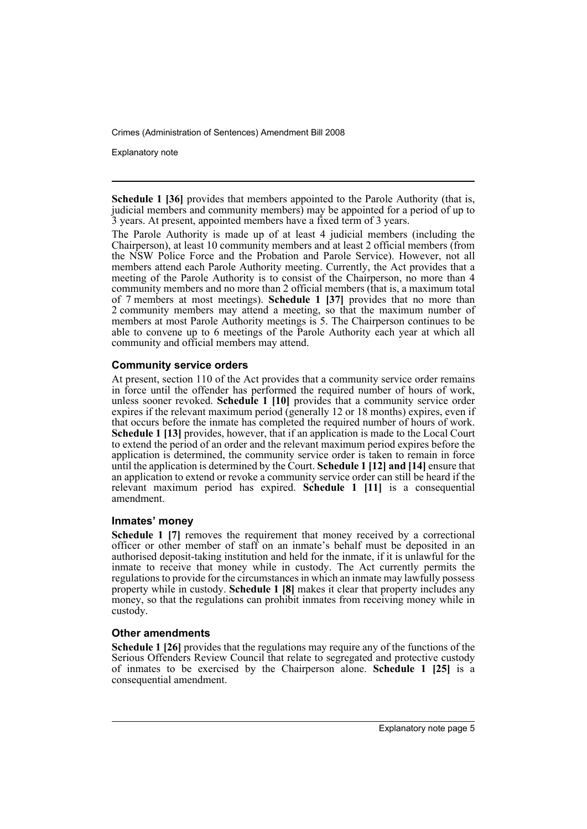Explanatory note

**Schedule 1 [36]** provides that members appointed to the Parole Authority (that is, judicial members and community members) may be appointed for a period of up to 3 years. At present, appointed members have a fixed term of 3 years.

The Parole Authority is made up of at least 4 judicial members (including the Chairperson), at least 10 community members and at least 2 official members (from the NSW Police Force and the Probation and Parole Service). However, not all members attend each Parole Authority meeting. Currently, the Act provides that a meeting of the Parole Authority is to consist of the Chairperson, no more than 4 community members and no more than 2 official members (that is, a maximum total of 7 members at most meetings). **Schedule 1 [37]** provides that no more than 2 community members may attend a meeting, so that the maximum number of members at most Parole Authority meetings is 5. The Chairperson continues to be able to convene up to 6 meetings of the Parole Authority each year at which all community and official members may attend.

### **Community service orders**

At present, section 110 of the Act provides that a community service order remains in force until the offender has performed the required number of hours of work, unless sooner revoked. **Schedule 1 [10]** provides that a community service order expires if the relevant maximum period (generally 12 or 18 months) expires, even if that occurs before the inmate has completed the required number of hours of work. **Schedule 1 [13]** provides, however, that if an application is made to the Local Court to extend the period of an order and the relevant maximum period expires before the application is determined, the community service order is taken to remain in force until the application is determined by the Court. **Schedule 1 [12] and [14]** ensure that an application to extend or revoke a community service order can still be heard if the relevant maximum period has expired. **Schedule 1 [11]** is a consequential amendment.

### **Inmates' money**

**Schedule 1 [7]** removes the requirement that money received by a correctional officer or other member of staff on an inmate's behalf must be deposited in an authorised deposit-taking institution and held for the inmate, if it is unlawful for the inmate to receive that money while in custody. The Act currently permits the regulations to provide for the circumstances in which an inmate may lawfully possess property while in custody. **Schedule 1 [8]** makes it clear that property includes any money, so that the regulations can prohibit inmates from receiving money while in custody.

### **Other amendments**

**Schedule 1 [26]** provides that the regulations may require any of the functions of the Serious Offenders Review Council that relate to segregated and protective custody of inmates to be exercised by the Chairperson alone. **Schedule 1 [25]** is a consequential amendment.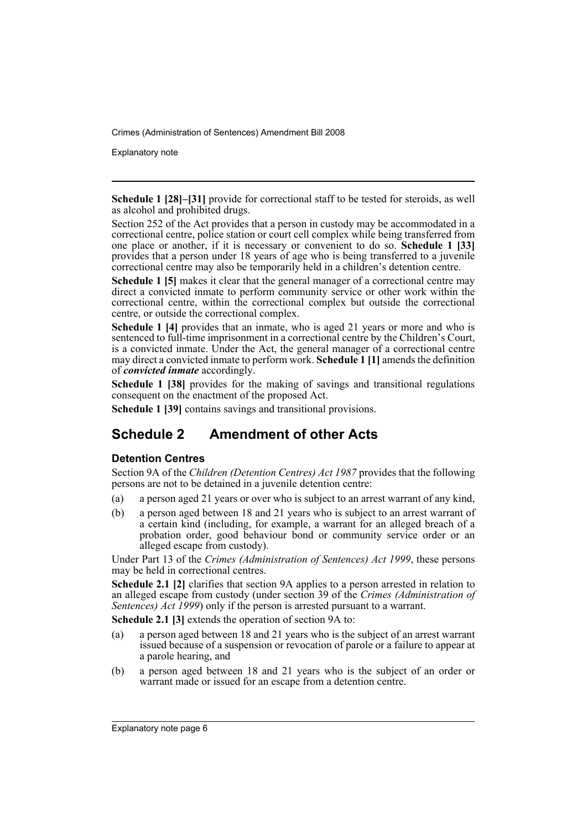Explanatory note

**Schedule 1 [28]–[31]** provide for correctional staff to be tested for steroids, as well as alcohol and prohibited drugs.

Section 252 of the Act provides that a person in custody may be accommodated in a correctional centre, police station or court cell complex while being transferred from one place or another, if it is necessary or convenient to do so. **Schedule 1 [33]** provides that a person under 18 years of age who is being transferred to a juvenile correctional centre may also be temporarily held in a children's detention centre.

**Schedule 1 [5]** makes it clear that the general manager of a correctional centre may direct a convicted inmate to perform community service or other work within the correctional centre, within the correctional complex but outside the correctional centre, or outside the correctional complex.

**Schedule 1 [4]** provides that an inmate, who is aged 21 years or more and who is sentenced to full-time imprisonment in a correctional centre by the Children's Court, is a convicted inmate. Under the Act, the general manager of a correctional centre may direct a convicted inmate to perform work. **Schedule 1 [1]** amends the definition of *convicted inmate* accordingly.

**Schedule 1 [38]** provides for the making of savings and transitional regulations consequent on the enactment of the proposed Act.

**Schedule 1 [39]** contains savings and transitional provisions.

### **Schedule 2 Amendment of other Acts**

### **Detention Centres**

Section 9A of the *Children (Detention Centres) Act 1987* provides that the following persons are not to be detained in a juvenile detention centre:

- (a) a person aged 21 years or over who is subject to an arrest warrant of any kind,
- (b) a person aged between 18 and 21 years who is subject to an arrest warrant of a certain kind (including, for example, a warrant for an alleged breach of a probation order, good behaviour bond or community service order or an alleged escape from custody).

Under Part 13 of the *Crimes (Administration of Sentences) Act 1999*, these persons may be held in correctional centres.

**Schedule 2.1 [2]** clarifies that section 9A applies to a person arrested in relation to an alleged escape from custody (under section 39 of the *Crimes (Administration of Sentences) Act 1999*) only if the person is arrested pursuant to a warrant.

**Schedule 2.1 [3]** extends the operation of section 9A to:

- (a) a person aged between 18 and 21 years who is the subject of an arrest warrant issued because of a suspension or revocation of parole or a failure to appear at a parole hearing, and
- (b) a person aged between 18 and 21 years who is the subject of an order or warrant made or issued for an escape from a detention centre.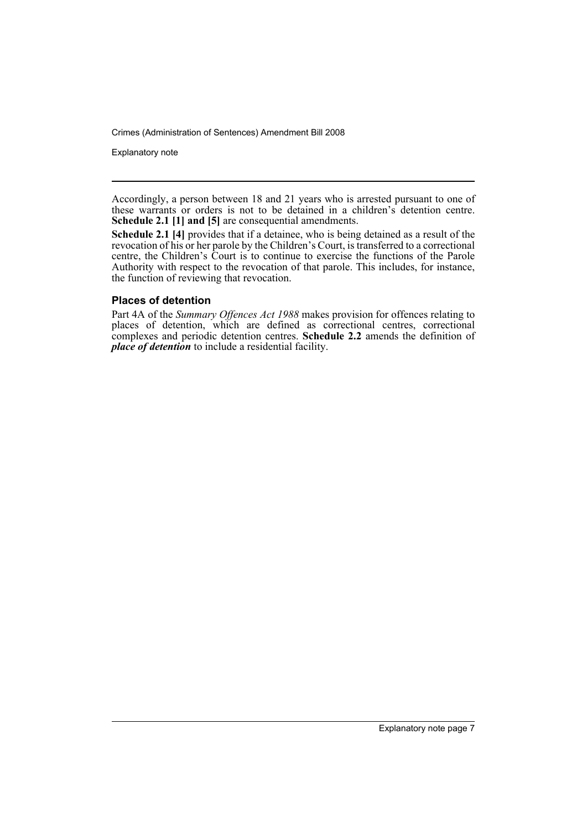Explanatory note

Accordingly, a person between 18 and 21 years who is arrested pursuant to one of these warrants or orders is not to be detained in a children's detention centre. **Schedule 2.1 [1] and [5]** are consequential amendments.

**Schedule 2.1 [4]** provides that if a detainee, who is being detained as a result of the revocation of his or her parole by the Children's Court, is transferred to a correctional centre, the Children's Court is to continue to exercise the functions of the Parole Authority with respect to the revocation of that parole. This includes, for instance, the function of reviewing that revocation.

### **Places of detention**

Part 4A of the *Summary Offences Act 1988* makes provision for offences relating to places of detention, which are defined as correctional centres, correctional complexes and periodic detention centres. **Schedule 2.2** amends the definition of *place of detention* to include a residential facility.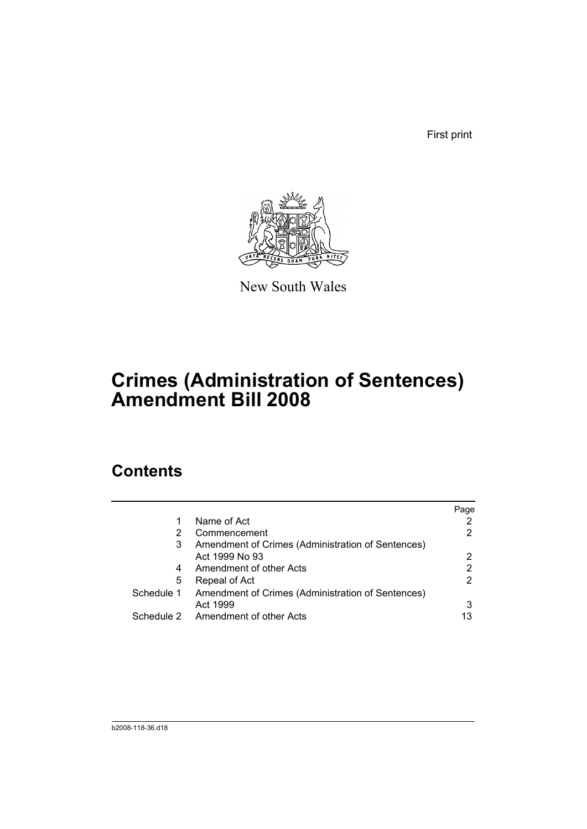First print



New South Wales

# **Crimes (Administration of Sentences) Amendment Bill 2008**

## **Contents**

|            |                                                   | Page |
|------------|---------------------------------------------------|------|
| 1          | Name of Act                                       |      |
| 2          | Commencement                                      | 2    |
| 3          | Amendment of Crimes (Administration of Sentences) |      |
|            | Act 1999 No 93                                    | 2    |
| 4          | Amendment of other Acts                           | 2    |
| 5          | Repeal of Act                                     |      |
| Schedule 1 | Amendment of Crimes (Administration of Sentences) |      |
|            | Act 1999                                          | 3    |
|            | Schedule 2 Amendment of other Acts                | 13   |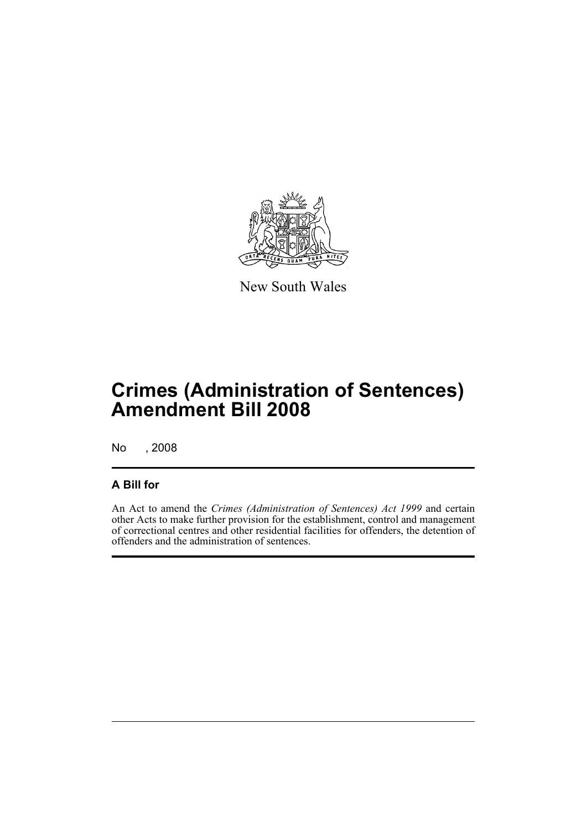

New South Wales

## **Crimes (Administration of Sentences) Amendment Bill 2008**

No , 2008

### **A Bill for**

An Act to amend the *Crimes (Administration of Sentences) Act 1999* and certain other Acts to make further provision for the establishment, control and management of correctional centres and other residential facilities for offenders, the detention of offenders and the administration of sentences.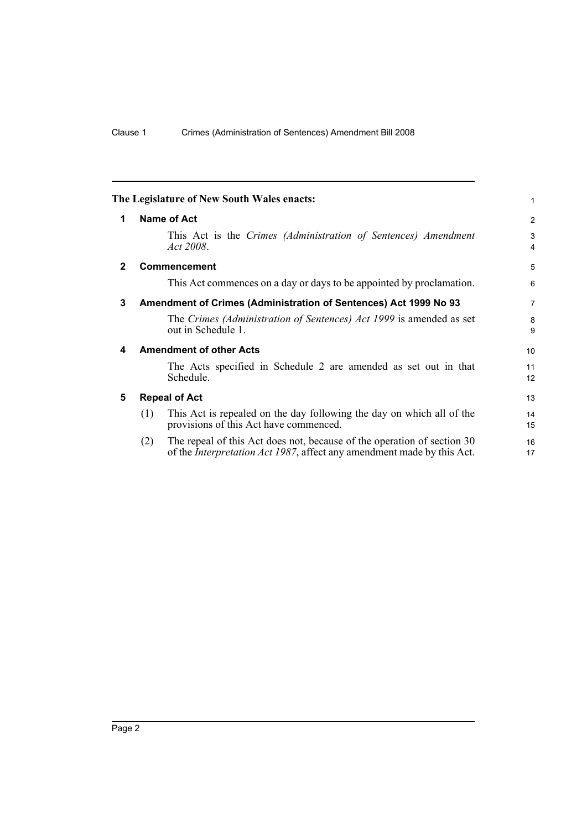<span id="page-11-4"></span><span id="page-11-3"></span><span id="page-11-2"></span><span id="page-11-1"></span><span id="page-11-0"></span>

|             | The Legislature of New South Wales enacts:                                                                                                                       | 1                   |
|-------------|------------------------------------------------------------------------------------------------------------------------------------------------------------------|---------------------|
| 1           | Name of Act                                                                                                                                                      | 2                   |
|             | This Act is the Crimes (Administration of Sentences) Amendment<br>Act 2008.                                                                                      | 3<br>$\overline{4}$ |
| $\mathbf 2$ | <b>Commencement</b>                                                                                                                                              | 5                   |
|             | This Act commences on a day or days to be appointed by proclamation.                                                                                             | 6                   |
| 3           | Amendment of Crimes (Administration of Sentences) Act 1999 No 93                                                                                                 | $\overline{7}$      |
|             | The Crimes (Administration of Sentences) Act 1999 is amended as set<br>out in Schedule 1.                                                                        | 8<br>9              |
| 4           | <b>Amendment of other Acts</b>                                                                                                                                   | 10                  |
|             | The Acts specified in Schedule 2 are amended as set out in that<br>Schedule.                                                                                     | 11<br>12            |
| 5           | <b>Repeal of Act</b>                                                                                                                                             | 13                  |
|             | This Act is repealed on the day following the day on which all of the<br>(1)<br>provisions of this Act have commenced.                                           | 14<br>15            |
|             | The repeal of this Act does not, because of the operation of section 30<br>(2)<br>of the <i>Interpretation Act 1987</i> , affect any amendment made by this Act. | 16<br>17            |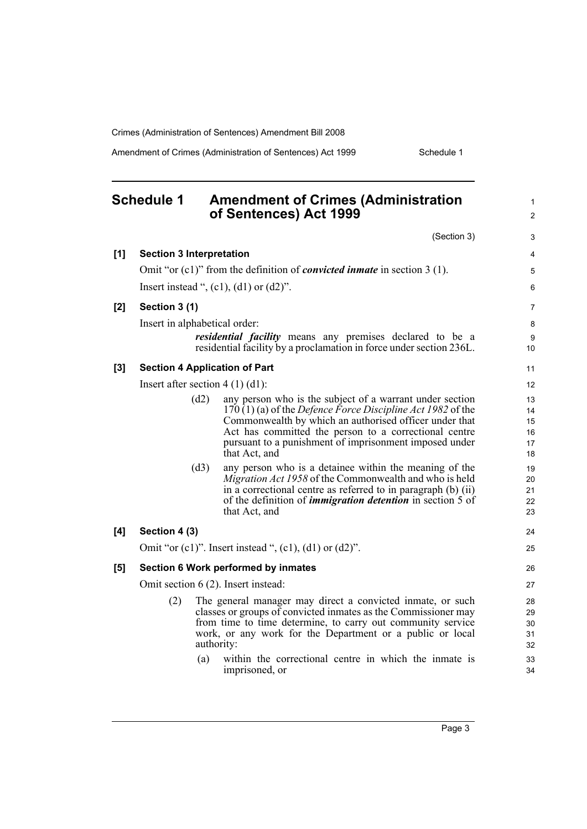Amendment of Crimes (Administration of Sentences) Act 1999 Schedule 1

<span id="page-12-0"></span>

|     | <b>Schedule 1</b>               |      | <b>Amendment of Crimes (Administration</b><br>of Sentences) Act 1999                                                                                                                                                                                                                                                            | $\mathbf{1}$<br>$\overline{2}$   |
|-----|---------------------------------|------|---------------------------------------------------------------------------------------------------------------------------------------------------------------------------------------------------------------------------------------------------------------------------------------------------------------------------------|----------------------------------|
|     |                                 |      | (Section 3)                                                                                                                                                                                                                                                                                                                     | 3                                |
| [1] | <b>Section 3 Interpretation</b> |      |                                                                                                                                                                                                                                                                                                                                 | 4                                |
|     |                                 |      | Omit "or $(c1)$ " from the definition of <i>convicted inmate</i> in section 3 (1).                                                                                                                                                                                                                                              | $\mathbf 5$                      |
|     |                                 |      | Insert instead ", $(c1)$ , $(d1)$ or $(d2)$ ".                                                                                                                                                                                                                                                                                  | 6                                |
| [2] | Section 3 (1)                   |      |                                                                                                                                                                                                                                                                                                                                 | 7                                |
|     | Insert in alphabetical order:   |      |                                                                                                                                                                                                                                                                                                                                 | $\bf 8$                          |
|     |                                 |      | residential facility means any premises declared to be a<br>residential facility by a proclamation in force under section 236L.                                                                                                                                                                                                 | 9<br>10                          |
| [3] |                                 |      | <b>Section 4 Application of Part</b>                                                                                                                                                                                                                                                                                            | 11                               |
|     |                                 |      | Insert after section $4(1)(d1)$ :                                                                                                                                                                                                                                                                                               | 12                               |
|     |                                 | (d2) | any person who is the subject of a warrant under section<br>$170(1)$ (a) of the <i>Defence Force Discipline Act 1982</i> of the<br>Commonwealth by which an authorised officer under that<br>Act has committed the person to a correctional centre<br>pursuant to a punishment of imprisonment imposed under<br>that Act, and   | 13<br>14<br>15<br>16<br>17<br>18 |
|     |                                 | (d3) | any person who is a detainee within the meaning of the<br>Migration Act 1958 of the Commonwealth and who is held<br>in a correctional centre as referred to in paragraph (b) (ii)<br>of the definition of <i>immigration detention</i> in section 5 of<br>that Act, and                                                         | 19<br>20<br>21<br>22<br>23       |
| [4] | Section 4 (3)                   |      |                                                                                                                                                                                                                                                                                                                                 | 24                               |
|     |                                 |      | Omit "or $(c1)$ ". Insert instead ", $(c1)$ , $(d1)$ or $(d2)$ ".                                                                                                                                                                                                                                                               | 25                               |
| [5] |                                 |      | Section 6 Work performed by inmates                                                                                                                                                                                                                                                                                             | 26                               |
|     |                                 |      | Omit section 6 (2). Insert instead:                                                                                                                                                                                                                                                                                             | 27                               |
|     | (2)                             | (a)  | The general manager may direct a convicted inmate, or such<br>classes or groups of convicted inmates as the Commissioner may<br>from time to time determine, to carry out community service<br>work, or any work for the Department or a public or local<br>authority:<br>within the correctional centre in which the inmate is | 28<br>29<br>30<br>31<br>32<br>33 |
|     |                                 |      | imprisoned, or                                                                                                                                                                                                                                                                                                                  | 34                               |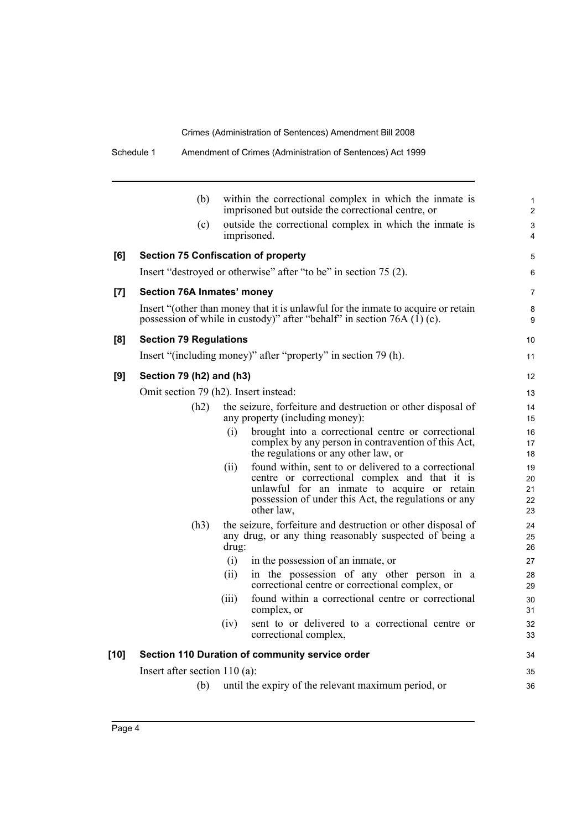|        | (b)                                        |       | within the correctional complex in which the inmate is<br>imprisoned but outside the correctional centre, or                                                                                                               | 1<br>$\overline{c}$        |
|--------|--------------------------------------------|-------|----------------------------------------------------------------------------------------------------------------------------------------------------------------------------------------------------------------------------|----------------------------|
|        | (c)                                        |       | outside the correctional complex in which the inmate is<br>imprisoned.                                                                                                                                                     | 3<br>4                     |
| [6]    | <b>Section 75 Confiscation of property</b> |       |                                                                                                                                                                                                                            | 5                          |
|        |                                            |       | Insert "destroyed or otherwise" after "to be" in section 75 (2).                                                                                                                                                           | 6                          |
| [7]    | Section 76A Inmates' money                 |       |                                                                                                                                                                                                                            | 7                          |
|        |                                            |       | Insert "(other than money that it is unlawful for the inmate to acquire or retain<br>possession of while in custody)" after "behalf" in section 76A $(I)$ (c).                                                             | 8<br>9                     |
| [8]    | <b>Section 79 Regulations</b>              |       |                                                                                                                                                                                                                            | 10                         |
|        |                                            |       | Insert "(including money)" after "property" in section 79 (h).                                                                                                                                                             | 11                         |
| [9]    | Section 79 (h2) and (h3)                   |       |                                                                                                                                                                                                                            | 12                         |
|        | Omit section 79 (h2). Insert instead:      |       |                                                                                                                                                                                                                            | 13                         |
|        | (h2)                                       |       | the seizure, forfeiture and destruction or other disposal of<br>any property (including money):                                                                                                                            | 14<br>15                   |
|        |                                            | (i)   | brought into a correctional centre or correctional<br>complex by any person in contravention of this Act,<br>the regulations or any other law, or                                                                          | 16<br>17<br>18             |
|        |                                            | (ii)  | found within, sent to or delivered to a correctional<br>centre or correctional complex and that it is<br>unlawful for an inmate to acquire or retain<br>possession of under this Act, the regulations or any<br>other law, | 19<br>20<br>21<br>22<br>23 |
|        | (h3)                                       | drug: | the seizure, forfeiture and destruction or other disposal of<br>any drug, or any thing reasonably suspected of being a                                                                                                     | 24<br>25<br>26             |
|        |                                            | (i)   | in the possession of an inmate, or                                                                                                                                                                                         | 27                         |
|        |                                            | (ii)  | in the possession of any other person in a<br>correctional centre or correctional complex, or                                                                                                                              | 28<br>29                   |
|        |                                            | (iii) | found within a correctional centre or correctional<br>complex, or                                                                                                                                                          | 30<br>31                   |
|        |                                            |       | (iv) sent to or delivered to a correctional centre or<br>correctional complex,                                                                                                                                             | 32<br>33                   |
| $[10]$ |                                            |       | Section 110 Duration of community service order                                                                                                                                                                            | 34                         |
|        | Insert after section $110$ (a):            |       |                                                                                                                                                                                                                            | 35                         |
|        | (b)                                        |       | until the expiry of the relevant maximum period, or                                                                                                                                                                        | 36                         |
|        |                                            |       |                                                                                                                                                                                                                            |                            |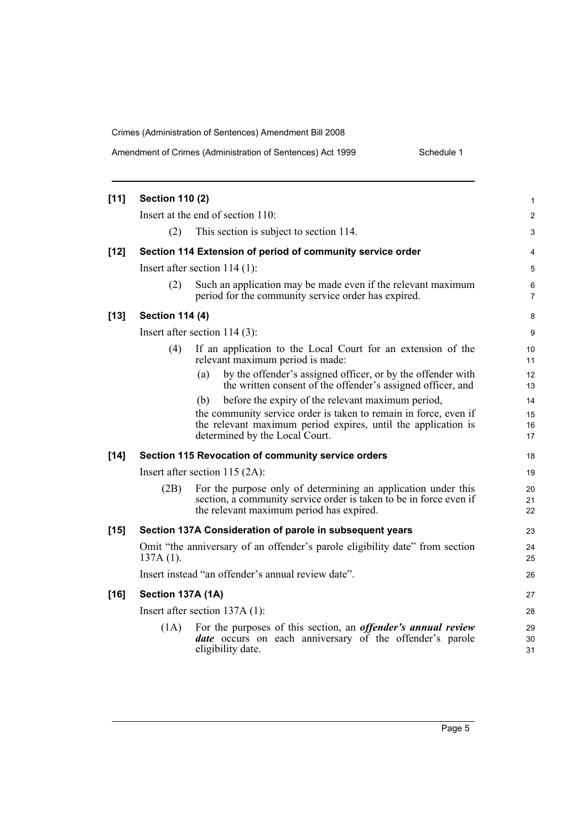Schedule 1

| $[11]$ | <b>Section 110 (2)</b> |                                                                                                                                                                                 | $\mathbf{1}$            |
|--------|------------------------|---------------------------------------------------------------------------------------------------------------------------------------------------------------------------------|-------------------------|
|        |                        | Insert at the end of section 110:                                                                                                                                               | 2                       |
|        | (2)                    | This section is subject to section 114.                                                                                                                                         | 3                       |
| $[12]$ |                        | Section 114 Extension of period of community service order                                                                                                                      | 4                       |
|        |                        | Insert after section $114(1)$ :                                                                                                                                                 | 5                       |
|        | (2)                    | Such an application may be made even if the relevant maximum<br>period for the community service order has expired.                                                             | $\,6$<br>$\overline{7}$ |
| $[13]$ | <b>Section 114 (4)</b> |                                                                                                                                                                                 | 8                       |
|        |                        | Insert after section $114(3)$ :                                                                                                                                                 | 9                       |
|        | (4)                    | If an application to the Local Court for an extension of the<br>relevant maximum period is made:                                                                                | 10<br>11                |
|        |                        | by the offender's assigned officer, or by the offender with<br>(a)<br>the written consent of the offender's assigned officer, and                                               | 12<br>13                |
|        |                        | before the expiry of the relevant maximum period,<br>(b)                                                                                                                        | 14                      |
|        |                        | the community service order is taken to remain in force, even if<br>the relevant maximum period expires, until the application is<br>determined by the Local Court.             | 15<br>16<br>17          |
| $[14]$ |                        | Section 115 Revocation of community service orders                                                                                                                              | 18                      |
|        |                        | Insert after section $115 (2A)$ :                                                                                                                                               | 19                      |
|        | (2B)                   | For the purpose only of determining an application under this<br>section, a community service order is taken to be in force even if<br>the relevant maximum period has expired. | 20<br>21<br>22          |
| $[15]$ |                        | Section 137A Consideration of parole in subsequent years                                                                                                                        | 23                      |
|        | $137A(1)$ .            | Omit "the anniversary of an offender's parole eligibility date" from section                                                                                                    | 24<br>25                |
|        |                        | Insert instead "an offender's annual review date".                                                                                                                              | 26                      |
| $[16]$ | Section 137A (1A)      |                                                                                                                                                                                 | 27                      |
|        |                        | Insert after section $137A(1)$ :                                                                                                                                                | 28                      |
|        | (1A)                   | For the purposes of this section, an <i>offender's annual review</i><br>date occurs on each anniversary of the offender's parole<br>eligibility date.                           | 29<br>30<br>31          |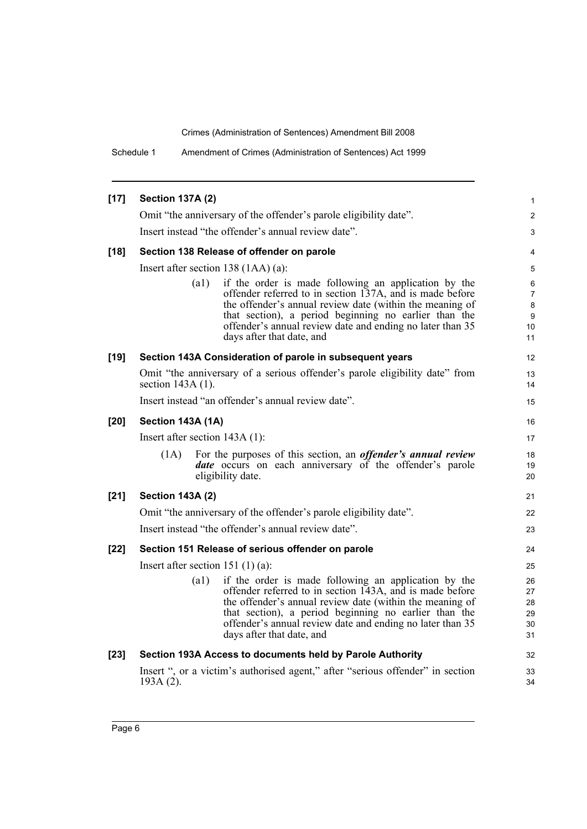Schedule 1 Amendment of Crimes (Administration of Sentences) Act 1999

| $[17]$ | <b>Section 137A (2)</b>                                                                                                                                                                                                                                                                                                                 | 1                                               |  |  |  |
|--------|-----------------------------------------------------------------------------------------------------------------------------------------------------------------------------------------------------------------------------------------------------------------------------------------------------------------------------------------|-------------------------------------------------|--|--|--|
|        | Omit "the anniversary of the offender's parole eligibility date".                                                                                                                                                                                                                                                                       | $\mathbf{2}$                                    |  |  |  |
|        | Insert instead "the offender's annual review date".                                                                                                                                                                                                                                                                                     | 3                                               |  |  |  |
| $[18]$ | Section 138 Release of offender on parole                                                                                                                                                                                                                                                                                               | 4                                               |  |  |  |
|        | Insert after section $138(1AA)(a)$ :                                                                                                                                                                                                                                                                                                    | 5                                               |  |  |  |
|        | (a1)<br>if the order is made following an application by the<br>offender referred to in section 137A, and is made before<br>the offender's annual review date (within the meaning of<br>that section), a period beginning no earlier than the<br>offender's annual review date and ending no later than 35<br>days after that date, and | 6<br>$\overline{7}$<br>$\bf 8$<br>9<br>10<br>11 |  |  |  |
| $[19]$ | Section 143A Consideration of parole in subsequent years                                                                                                                                                                                                                                                                                | 12                                              |  |  |  |
|        | Omit "the anniversary of a serious offender's parole eligibility date" from<br>section $143A(1)$ .                                                                                                                                                                                                                                      | 13<br>14                                        |  |  |  |
|        | Insert instead "an offender's annual review date".                                                                                                                                                                                                                                                                                      |                                                 |  |  |  |
| $[20]$ | Section 143A (1A)                                                                                                                                                                                                                                                                                                                       | 16                                              |  |  |  |
|        | Insert after section 143A (1):                                                                                                                                                                                                                                                                                                          |                                                 |  |  |  |
|        | For the purposes of this section, an <i>offender's annual review</i><br>(1A)<br><b><i>date</i></b> occurs on each anniversary of the offender's parole<br>eligibility date.                                                                                                                                                             | 18<br>19<br>20                                  |  |  |  |
| $[21]$ | <b>Section 143A (2)</b>                                                                                                                                                                                                                                                                                                                 | 21                                              |  |  |  |
|        | Omit "the anniversary of the offender's parole eligibility date".                                                                                                                                                                                                                                                                       | 22                                              |  |  |  |
|        | Insert instead "the offender's annual review date".                                                                                                                                                                                                                                                                                     | 23                                              |  |  |  |
| $[22]$ | Section 151 Release of serious offender on parole                                                                                                                                                                                                                                                                                       | 24                                              |  |  |  |
|        | Insert after section 151 $(1)(a)$ :                                                                                                                                                                                                                                                                                                     |                                                 |  |  |  |
|        | if the order is made following an application by the<br>(a1)<br>offender referred to in section 143A, and is made before<br>the offender's annual review date (within the meaning of<br>that section), a period beginning no earlier than the<br>offender's annual review date and ending no later than 35<br>days after that date, and | 26<br>27<br>28<br>29<br>30<br>31                |  |  |  |
| $[23]$ | Section 193A Access to documents held by Parole Authority                                                                                                                                                                                                                                                                               | 32                                              |  |  |  |
|        | Insert ", or a victim's authorised agent," after "serious offender" in section<br>$193A(2)$ .                                                                                                                                                                                                                                           | 33<br>34                                        |  |  |  |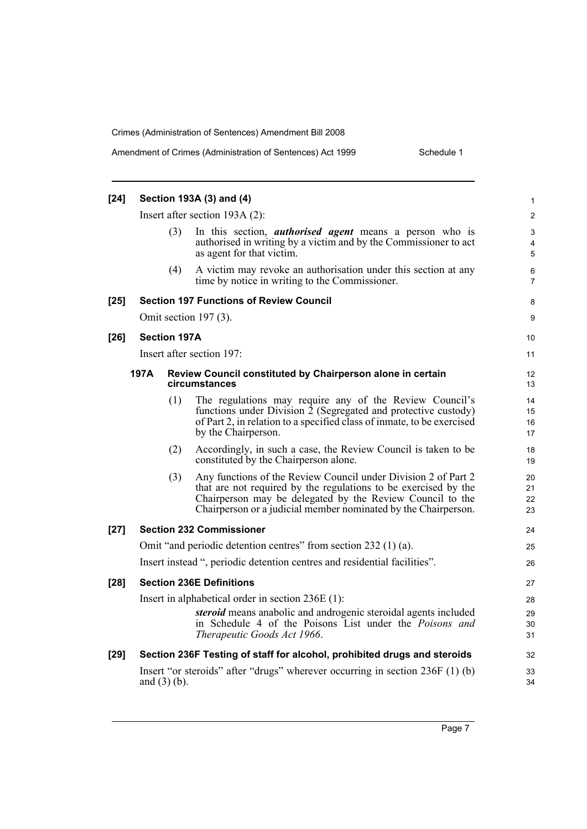|  | Amendment of Crimes (Administration of Sentences) Act 1999 |  |
|--|------------------------------------------------------------|--|
|--|------------------------------------------------------------|--|

Schedule 1

| $[24]$ |      |                     | Section 193A (3) and (4)                                                                                                                                                                                                                                         | $\mathbf{1}$             |
|--------|------|---------------------|------------------------------------------------------------------------------------------------------------------------------------------------------------------------------------------------------------------------------------------------------------------|--------------------------|
|        |      |                     | Insert after section $193A(2)$ :                                                                                                                                                                                                                                 | $\overline{2}$           |
|        |      | (3)                 | In this section, <i>authorised</i> agent means a person who is<br>authorised in writing by a victim and by the Commissioner to act<br>as agent for that victim.                                                                                                  | 3<br>$\overline{4}$<br>5 |
|        |      | (4)                 | A victim may revoke an authorisation under this section at any<br>time by notice in writing to the Commissioner.                                                                                                                                                 | 6<br>7                   |
| $[25]$ |      |                     | <b>Section 197 Functions of Review Council</b>                                                                                                                                                                                                                   | 8                        |
|        |      |                     | Omit section $197(3)$ .                                                                                                                                                                                                                                          | 9                        |
| $[26]$ |      | <b>Section 197A</b> |                                                                                                                                                                                                                                                                  | 10                       |
|        |      |                     | Insert after section 197:                                                                                                                                                                                                                                        | 11                       |
|        | 197A |                     | Review Council constituted by Chairperson alone in certain<br>circumstances                                                                                                                                                                                      | 12<br>13                 |
|        |      | (1)                 | The regulations may require any of the Review Council's<br>functions under Division 2 (Segregated and protective custody)<br>of Part 2, in relation to a specified class of inmate, to be exercised<br>by the Chairperson.                                       | 14<br>15<br>16<br>17     |
|        |      | (2)                 | Accordingly, in such a case, the Review Council is taken to be<br>constituted by the Chairperson alone.                                                                                                                                                          | 18<br>19                 |
|        |      | (3)                 | Any functions of the Review Council under Division 2 of Part 2<br>that are not required by the regulations to be exercised by the<br>Chairperson may be delegated by the Review Council to the<br>Chairperson or a judicial member nominated by the Chairperson. | 20<br>21<br>22<br>23     |
| $[27]$ |      |                     | <b>Section 232 Commissioner</b>                                                                                                                                                                                                                                  | 24                       |
|        |      |                     | Omit "and periodic detention centres" from section 232 (1) (a).                                                                                                                                                                                                  | 25                       |
|        |      |                     | Insert instead ", periodic detention centres and residential facilities".                                                                                                                                                                                        | 26                       |
| $[28]$ |      |                     | <b>Section 236E Definitions</b>                                                                                                                                                                                                                                  | 27                       |
|        |      |                     | Insert in alphabetical order in section $236E(1)$ :                                                                                                                                                                                                              | 28                       |
|        |      |                     | steroid means anabolic and androgenic steroidal agents included<br>in Schedule 4 of the Poisons List under the Poisons and<br>Therapeutic Goods Act 1966.                                                                                                        | 29<br>30<br>31           |
| $[29]$ |      |                     | Section 236F Testing of staff for alcohol, prohibited drugs and steroids                                                                                                                                                                                         | 32                       |
|        |      | and $(3)$ (b).      | Insert "or steroids" after "drugs" wherever occurring in section 236F (1) (b)                                                                                                                                                                                    | 33<br>34                 |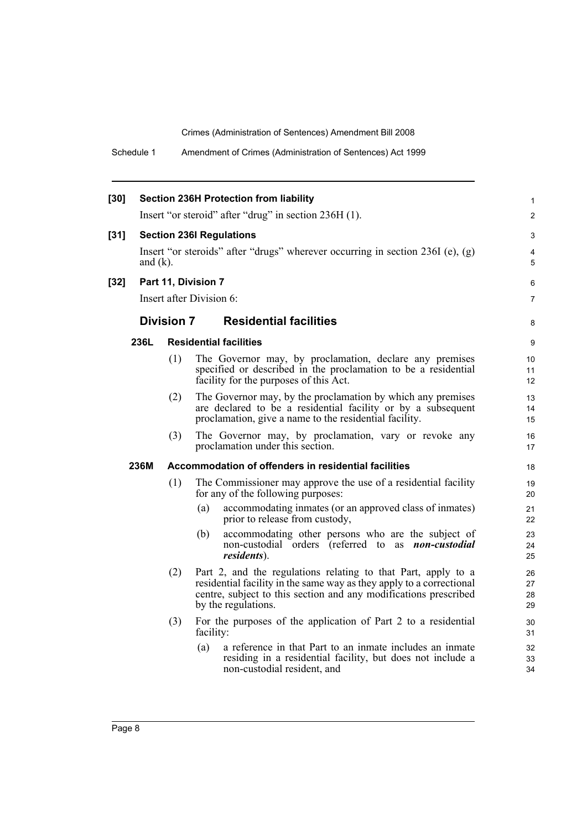Schedule 1 Amendment of Crimes (Administration of Sentences) Act 1999

| $[30]$ |                                 |                                                                                                 | <b>Section 236H Protection from liability</b>                                                                                                                                                                                    | 1                    |  |  |  |
|--------|---------------------------------|-------------------------------------------------------------------------------------------------|----------------------------------------------------------------------------------------------------------------------------------------------------------------------------------------------------------------------------------|----------------------|--|--|--|
|        |                                 |                                                                                                 | Insert "or steroid" after "drug" in section 236H (1).                                                                                                                                                                            | $\overline{2}$       |  |  |  |
|        | <b>Section 236I Regulations</b> |                                                                                                 |                                                                                                                                                                                                                                  |                      |  |  |  |
| $[31]$ |                                 |                                                                                                 |                                                                                                                                                                                                                                  | 3<br>4               |  |  |  |
|        |                                 | Insert "or steroids" after "drugs" wherever occurring in section $236I$ (e), (g)<br>and $(k)$ . |                                                                                                                                                                                                                                  |                      |  |  |  |
| $[32]$ |                                 |                                                                                                 | Part 11, Division 7                                                                                                                                                                                                              | 6                    |  |  |  |
|        |                                 |                                                                                                 | Insert after Division 6:                                                                                                                                                                                                         | $\overline{7}$       |  |  |  |
|        |                                 | <b>Division 7</b>                                                                               | <b>Residential facilities</b>                                                                                                                                                                                                    | 8                    |  |  |  |
|        | 236L                            |                                                                                                 | <b>Residential facilities</b>                                                                                                                                                                                                    | 9                    |  |  |  |
|        |                                 | (1)                                                                                             | The Governor may, by proclamation, declare any premises                                                                                                                                                                          | 10                   |  |  |  |
|        |                                 |                                                                                                 | specified or described in the proclamation to be a residential<br>facility for the purposes of this Act.                                                                                                                         | 11<br>12             |  |  |  |
|        |                                 | (2)                                                                                             | The Governor may, by the proclamation by which any premises                                                                                                                                                                      | 13                   |  |  |  |
|        |                                 |                                                                                                 | are declared to be a residential facility or by a subsequent<br>proclamation, give a name to the residential facility.                                                                                                           | 14<br>15             |  |  |  |
|        |                                 | (3)                                                                                             | The Governor may, by proclamation, vary or revoke any                                                                                                                                                                            | 16                   |  |  |  |
|        |                                 |                                                                                                 | proclamation under this section.                                                                                                                                                                                                 | 17                   |  |  |  |
|        | 236M                            |                                                                                                 | Accommodation of offenders in residential facilities                                                                                                                                                                             | 18                   |  |  |  |
|        |                                 | (1)                                                                                             | The Commissioner may approve the use of a residential facility<br>for any of the following purposes:                                                                                                                             | 19<br>20             |  |  |  |
|        |                                 |                                                                                                 | accommodating inmates (or an approved class of inmates)<br>(a)<br>prior to release from custody,                                                                                                                                 | 21<br>22             |  |  |  |
|        |                                 |                                                                                                 | accommodating other persons who are the subject of<br>(b)<br>non-custodial orders (referred to as <i>non-custodial</i><br><i>residents</i> ).                                                                                    | 23<br>24<br>25       |  |  |  |
|        |                                 | (2)                                                                                             | Part 2, and the regulations relating to that Part, apply to a<br>residential facility in the same way as they apply to a correctional<br>centre, subject to this section and any modifications prescribed<br>by the regulations. | 26<br>27<br>28<br>29 |  |  |  |
|        |                                 | (3)                                                                                             | For the purposes of the application of Part 2 to a residential<br>facility:                                                                                                                                                      | 30<br>31             |  |  |  |
|        |                                 |                                                                                                 | a reference in that Part to an inmate includes an inmate<br>(a)<br>residing in a residential facility, but does not include a<br>non-custodial resident, and                                                                     | 32<br>33<br>34       |  |  |  |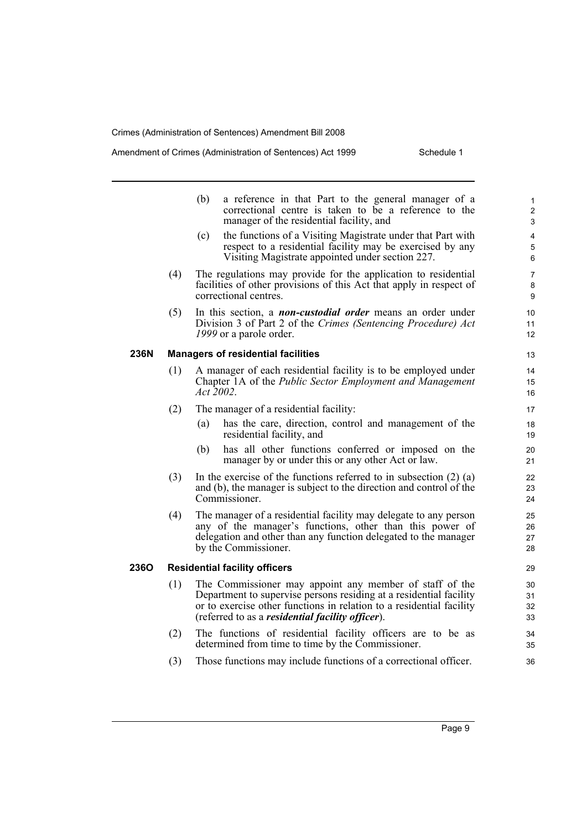**236N Managers of residential facilities**

**236O Residential facility officers**

### Amendment of Crimes (Administration of Sentences) Act 1999 Schedule 1

|     | a reference in that Part to the general manager of a<br>(b)<br>correctional centre is taken to be a reference to the<br>manager of the residential facility, and                                                                                                  |
|-----|-------------------------------------------------------------------------------------------------------------------------------------------------------------------------------------------------------------------------------------------------------------------|
|     | the functions of a Visiting Magistrate under that Part with<br>(c)<br>respect to a residential facility may be exercised by any<br>Visiting Magistrate appointed under section 227.                                                                               |
| (4) | The regulations may provide for the application to residential<br>facilities of other provisions of this Act that apply in respect of<br>correctional centres.                                                                                                    |
| (5) | In this section, a <i>non-custodial order</i> means an order under<br>Division 3 of Part 2 of the Crimes (Sentencing Procedure) Act<br>1999 or a parole order.                                                                                                    |
|     | <b>Managers of residential facilities</b>                                                                                                                                                                                                                         |
| (1) | A manager of each residential facility is to be employed under<br>Chapter 1A of the Public Sector Employment and Management<br>Act 2002.                                                                                                                          |
| (2) | The manager of a residential facility:                                                                                                                                                                                                                            |
|     | (a)<br>has the care, direction, control and management of the<br>residential facility, and                                                                                                                                                                        |
|     | has all other functions conferred or imposed on the<br>(b)<br>manager by or under this or any other Act or law.                                                                                                                                                   |
| (3) | In the exercise of the functions referred to in subsection $(2)$ $(a)$<br>and (b), the manager is subject to the direction and control of the<br>Commissioner.                                                                                                    |
| (4) | The manager of a residential facility may delegate to any person<br>any of the manager's functions, other than this power of<br>delegation and other than any function delegated to the manager<br>by the Commissioner.                                           |
|     | <b>Residential facility officers</b>                                                                                                                                                                                                                              |
| (1) | The Commissioner may appoint any member of staff of the<br>Department to supervise persons residing at a residential facility<br>or to exercise other functions in relation to a residential facility<br>(referred to as a <i>residential facility officer</i> ). |
| (2) | The functions of residential facility officers are to be as<br>determined from time to time by the Commissioner.                                                                                                                                                  |
| (3) | Those functions may include functions of a correctional officer.                                                                                                                                                                                                  |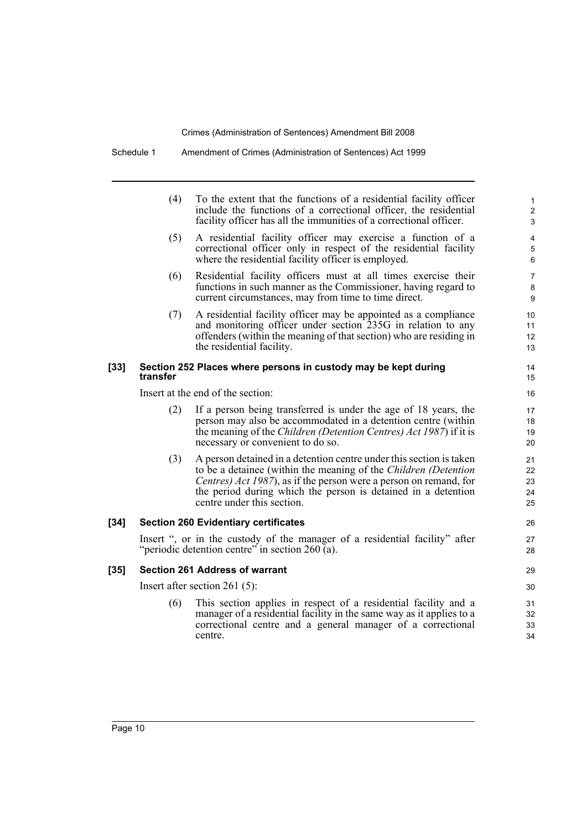|        | (4)      | To the extent that the functions of a residential facility officer<br>include the functions of a correctional officer, the residential<br>facility officer has all the immunities of a correctional officer.                                                                                                                | 1<br>$\overline{\mathbf{c}}$<br>3 |
|--------|----------|-----------------------------------------------------------------------------------------------------------------------------------------------------------------------------------------------------------------------------------------------------------------------------------------------------------------------------|-----------------------------------|
|        | (5)      | A residential facility officer may exercise a function of a<br>correctional officer only in respect of the residential facility<br>where the residential facility officer is employed.                                                                                                                                      | 4<br>5<br>6                       |
|        | (6)      | Residential facility officers must at all times exercise their<br>functions in such manner as the Commissioner, having regard to<br>current circumstances, may from time to time direct.                                                                                                                                    | 7<br>8<br>9                       |
|        | (7)      | A residential facility officer may be appointed as a compliance<br>and monitoring officer under section 235G in relation to any<br>offenders (within the meaning of that section) who are residing in<br>the residential facility.                                                                                          | 10<br>11<br>12<br>13              |
| [33]   | transfer | Section 252 Places where persons in custody may be kept during                                                                                                                                                                                                                                                              | 14<br>15                          |
|        |          | Insert at the end of the section:                                                                                                                                                                                                                                                                                           | 16                                |
|        | (2)      | If a person being transferred is under the age of 18 years, the<br>person may also be accommodated in a detention centre (within<br>the meaning of the <i>Children (Detention Centres) Act 1987</i> ) if it is<br>necessary or convenient to do so.                                                                         | 17<br>18<br>19<br>20              |
|        | (3)      | A person detained in a detention centre under this section is taken<br>to be a detainee (within the meaning of the <i>Children (Detention</i> )<br><i>Centres) Act 1987</i> ), as if the person were a person on remand, for<br>the period during which the person is detained in a detention<br>centre under this section. | 21<br>22<br>23<br>24<br>25        |
| $[34]$ |          | <b>Section 260 Evidentiary certificates</b>                                                                                                                                                                                                                                                                                 | 26                                |
|        |          | Insert ", or in the custody of the manager of a residential facility" after<br>"periodic detention centre" in section 260 (a).                                                                                                                                                                                              | 27<br>28                          |
| [35]   |          | <b>Section 261 Address of warrant</b>                                                                                                                                                                                                                                                                                       | 29                                |
|        |          | Insert after section $261(5)$ :                                                                                                                                                                                                                                                                                             | 30                                |
|        | (6)      | This section applies in respect of a residential facility and a<br>manager of a residential facility in the same way as it applies to a<br>correctional centre and a general manager of a correctional<br>centre.                                                                                                           | 31<br>32<br>33<br>34              |

 $[34]$ 

 $[35]$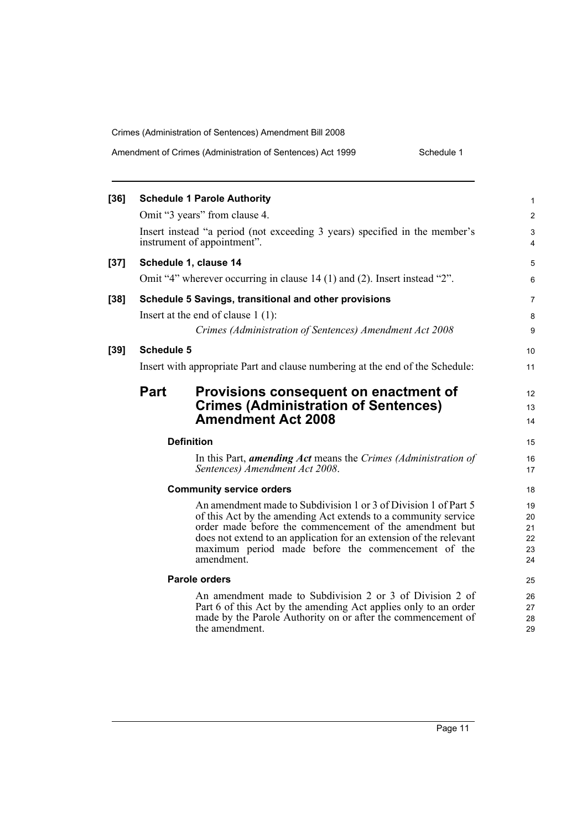|  | Amendment of Crimes (Administration of Sentences) Act 1999 | Schedule 1 |
|--|------------------------------------------------------------|------------|
|--|------------------------------------------------------------|------------|

| [36] |                   | <b>Schedule 1 Parole Authority</b>                                                                                                                                                                                                                                                                                                     | 1                                |
|------|-------------------|----------------------------------------------------------------------------------------------------------------------------------------------------------------------------------------------------------------------------------------------------------------------------------------------------------------------------------------|----------------------------------|
|      |                   | Omit "3 years" from clause 4.                                                                                                                                                                                                                                                                                                          | $\overline{\mathbf{c}}$          |
|      |                   | Insert instead "a period (not exceeding 3 years) specified in the member's<br>instrument of appointment".                                                                                                                                                                                                                              | 3<br>$\overline{4}$              |
| [37] |                   | Schedule 1, clause 14                                                                                                                                                                                                                                                                                                                  | 5                                |
|      |                   | Omit "4" wherever occurring in clause 14 (1) and (2). Insert instead "2".                                                                                                                                                                                                                                                              | 6                                |
| [38] |                   | Schedule 5 Savings, transitional and other provisions                                                                                                                                                                                                                                                                                  | 7                                |
|      |                   | Insert at the end of clause $1(1)$ :                                                                                                                                                                                                                                                                                                   | 8                                |
|      |                   | Crimes (Administration of Sentences) Amendment Act 2008                                                                                                                                                                                                                                                                                | 9                                |
| [39] | <b>Schedule 5</b> |                                                                                                                                                                                                                                                                                                                                        | 10                               |
|      |                   | Insert with appropriate Part and clause numbering at the end of the Schedule:                                                                                                                                                                                                                                                          | 11                               |
|      | <b>Part</b>       | Provisions consequent on enactment of                                                                                                                                                                                                                                                                                                  | 12                               |
|      |                   | <b>Crimes (Administration of Sentences)</b>                                                                                                                                                                                                                                                                                            | 13                               |
|      |                   | <b>Amendment Act 2008</b>                                                                                                                                                                                                                                                                                                              | 14                               |
|      |                   | <b>Definition</b>                                                                                                                                                                                                                                                                                                                      | 15                               |
|      |                   | In this Part, <i>amending Act</i> means the Crimes (Administration of<br>Sentences) Amendment Act 2008.                                                                                                                                                                                                                                | 16<br>17                         |
|      |                   | <b>Community service orders</b>                                                                                                                                                                                                                                                                                                        | 18                               |
|      |                   | An amendment made to Subdivision 1 or 3 of Division 1 of Part 5<br>of this Act by the amending Act extends to a community service<br>order made before the commencement of the amendment but<br>does not extend to an application for an extension of the relevant<br>maximum period made before the commencement of the<br>amendment. | 19<br>20<br>21<br>22<br>23<br>24 |
|      |                   | <b>Parole orders</b>                                                                                                                                                                                                                                                                                                                   | 25                               |
|      |                   | An amendment made to Subdivision 2 or 3 of Division 2 of<br>Part 6 of this Act by the amending Act applies only to an order<br>made by the Parole Authority on or after the commencement of<br>the amendment.                                                                                                                          | 26<br>27<br>28<br>29             |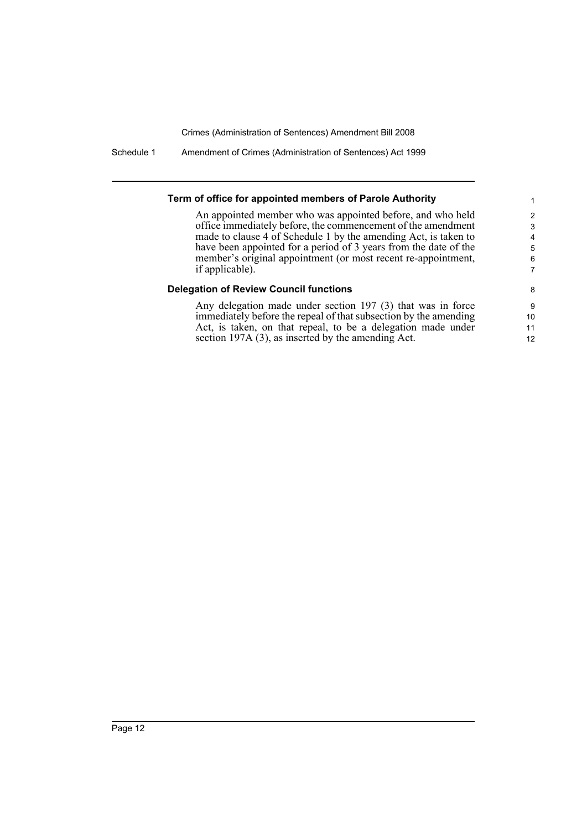Schedule 1 Amendment of Crimes (Administration of Sentences) Act 1999

#### **Term of office for appointed members of Parole Authority**

An appointed member who was appointed before, and who held office immediately before, the commencement of the amendment made to clause 4 of Schedule 1 by the amending Act, is taken to have been appointed for a period of 3 years from the date of the member's original appointment (or most recent re-appointment, if applicable).

#### **Delegation of Review Council functions**

Any delegation made under section 197 (3) that was in force immediately before the repeal of that subsection by the amending Act, is taken, on that repeal, to be a delegation made under section 197A (3), as inserted by the amending Act.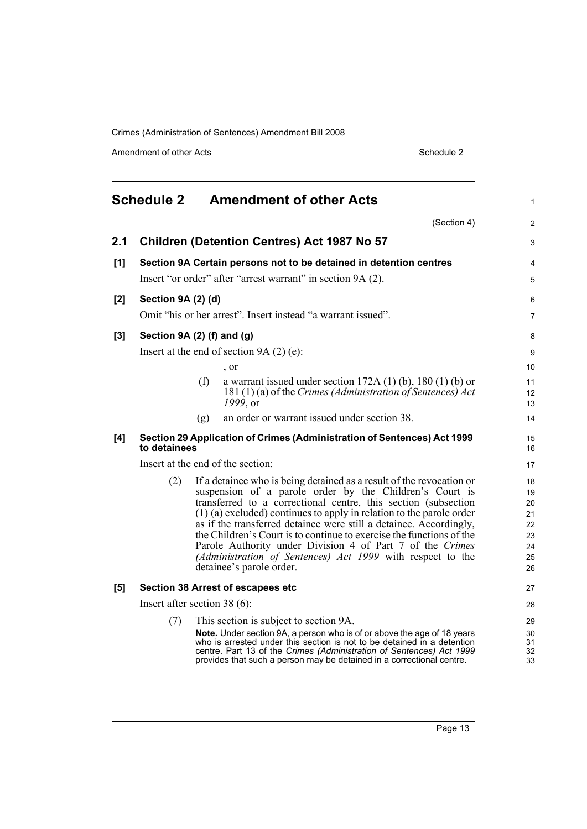Amendment of other Acts Schedule 2

<span id="page-22-0"></span>

|       | <b>Schedule 2</b>               |     | <b>Amendment of other Acts</b>                                                                                                                                                                                                                                                                                                                                                                                                                                                                                                                                                   | 1                                                  |
|-------|---------------------------------|-----|----------------------------------------------------------------------------------------------------------------------------------------------------------------------------------------------------------------------------------------------------------------------------------------------------------------------------------------------------------------------------------------------------------------------------------------------------------------------------------------------------------------------------------------------------------------------------------|----------------------------------------------------|
|       |                                 |     | (Section 4)                                                                                                                                                                                                                                                                                                                                                                                                                                                                                                                                                                      | 2                                                  |
| 2.1   |                                 |     | <b>Children (Detention Centres) Act 1987 No 57</b>                                                                                                                                                                                                                                                                                                                                                                                                                                                                                                                               | 3                                                  |
| [1]   |                                 |     | Section 9A Certain persons not to be detained in detention centres                                                                                                                                                                                                                                                                                                                                                                                                                                                                                                               | 4                                                  |
|       |                                 |     | Insert "or order" after "arrest warrant" in section 9A (2).                                                                                                                                                                                                                                                                                                                                                                                                                                                                                                                      | 5                                                  |
| $[2]$ | Section 9A (2) (d)              |     |                                                                                                                                                                                                                                                                                                                                                                                                                                                                                                                                                                                  | 6                                                  |
|       |                                 |     | Omit "his or her arrest". Insert instead "a warrant issued".                                                                                                                                                                                                                                                                                                                                                                                                                                                                                                                     | 7                                                  |
| $[3]$ | Section 9A (2) (f) and (g)      |     |                                                                                                                                                                                                                                                                                                                                                                                                                                                                                                                                                                                  | 8                                                  |
|       |                                 |     | Insert at the end of section $9A(2)$ (e):                                                                                                                                                                                                                                                                                                                                                                                                                                                                                                                                        | 9                                                  |
|       |                                 |     | , or                                                                                                                                                                                                                                                                                                                                                                                                                                                                                                                                                                             | 10                                                 |
|       |                                 | (f) | a warrant issued under section $172A(1)$ (b), $180(1)$ (b) or<br>181 (1) (a) of the Crimes (Administration of Sentences) Act<br>1999, or                                                                                                                                                                                                                                                                                                                                                                                                                                         | 11<br>12<br>13                                     |
|       |                                 | (g) | an order or warrant issued under section 38.                                                                                                                                                                                                                                                                                                                                                                                                                                                                                                                                     | 14                                                 |
| [4]   | to detainees                    |     | Section 29 Application of Crimes (Administration of Sentences) Act 1999                                                                                                                                                                                                                                                                                                                                                                                                                                                                                                          | 15<br>16                                           |
|       |                                 |     | Insert at the end of the section:                                                                                                                                                                                                                                                                                                                                                                                                                                                                                                                                                | 17                                                 |
|       | (2)                             |     | If a detainee who is being detained as a result of the revocation or<br>suspension of a parole order by the Children's Court is<br>transferred to a correctional centre, this section (subsection<br>$(1)$ (a) excluded) continues to apply in relation to the parole order<br>as if the transferred detainee were still a detainee. Accordingly,<br>the Children's Court is to continue to exercise the functions of the<br>Parole Authority under Division 4 of Part 7 of the Crimes<br>(Administration of Sentences) Act 1999 with respect to the<br>detainee's parole order. | 18<br>19<br>20<br>21<br>22<br>23<br>24<br>25<br>26 |
| [5]   |                                 |     | Section 38 Arrest of escapees etc                                                                                                                                                                                                                                                                                                                                                                                                                                                                                                                                                | 27                                                 |
|       | Insert after section 38 $(6)$ : |     |                                                                                                                                                                                                                                                                                                                                                                                                                                                                                                                                                                                  | 28                                                 |
|       | (7)                             |     | This section is subject to section 9A.<br>Note. Under section 9A, a person who is of or above the age of 18 years<br>who is arrested under this section is not to be detained in a detention<br>centre. Part 13 of the Crimes (Administration of Sentences) Act 1999<br>provides that such a person may be detained in a correctional centre.                                                                                                                                                                                                                                    | 29<br>30<br>31<br>32<br>33                         |